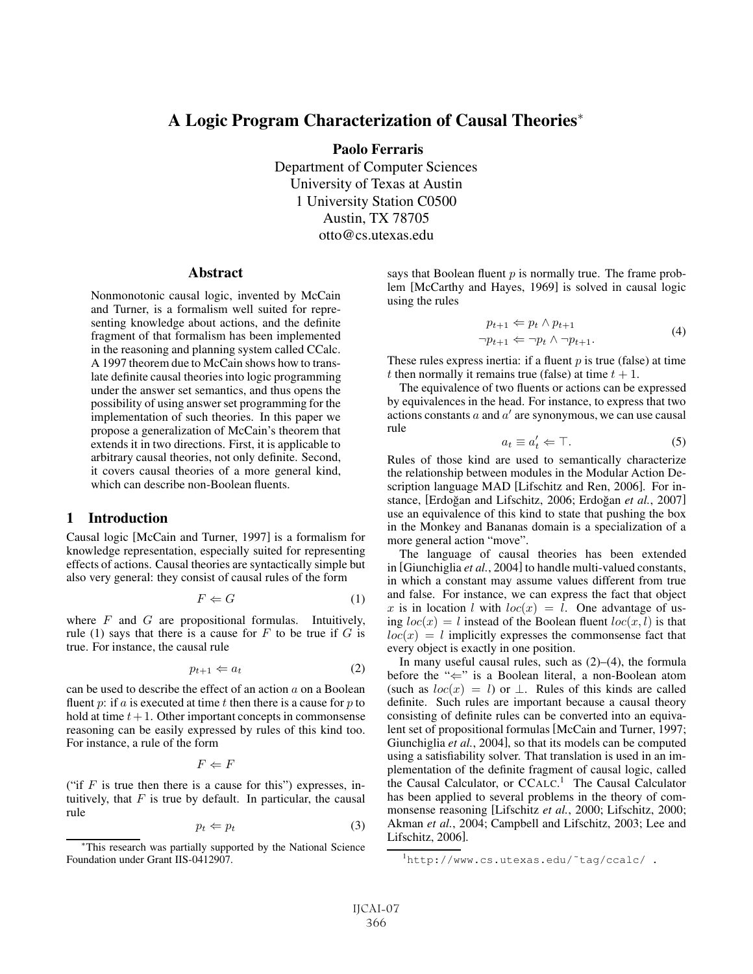# A Logic Program Characterization of Causal Theories<sup>∗</sup>

Paolo Ferraris

Department of Computer Sciences University of Texas at Austin 1 University Station C0500 Austin, TX 78705 otto@cs.utexas.edu

#### **Abstract**

Nonmonotonic causal logic, invented by McCain and Turner, is a formalism well suited for representing knowledge about actions, and the definite fragment of that formalism has been implemented in the reasoning and planning system called CCalc. A 1997 theorem due to McCain shows how to translate definite causal theories into logic programming under the answer set semantics, and thus opens the possibility of using answer set programming for the implementation of such theories. In this paper we propose a generalization of McCain's theorem that extends it in two directions. First, it is applicable to arbitrary causal theories, not only definite. Second, it covers causal theories of a more general kind, which can describe non-Boolean fluents.

#### 1 Introduction

Causal logic [McCain and Turner, 1997] is a formalism for knowledge representation, especially suited for representing effects of actions. Causal theories are syntactically simple but also very general: they consist of causal rules of the form

$$
F \Leftarrow G \tag{1}
$$

where  $F$  and  $G$  are propositional formulas. Intuitively, rule (1) says that there is a cause for  $F$  to be true if  $G$  is true. For instance, the causal rule

$$
p_{t+1} \Leftarrow a_t \tag{2}
$$

can be used to describe the effect of an action  $a$  on a Boolean fluent  $p$ : if  $a$  is executed at time  $t$  then there is a cause for  $p$  to hold at time  $t + 1$ . Other important concepts in commonsense reasoning can be easily expressed by rules of this kind too. For instance, a rule of the form

$$
F \Leftarrow F
$$

("if  $F$  is true then there is a cause for this") expresses, intuitively, that  $F$  is true by default. In particular, the causal rule

$$
p_t \Leftarrow p_t \tag{3}
$$

says that Boolean fluent  $p$  is normally true. The frame problem [McCarthy and Hayes, 1969] is solved in causal logic using the rules

$$
p_{t+1} \Leftarrow p_t \land p_{t+1}
$$
  
\n
$$
\neg p_{t+1} \Leftarrow \neg p_t \land \neg p_{t+1}.
$$
\n(4)

These rules express inertia: if a fluent  $p$  is true (false) at time t then normally it remains true (false) at time  $t + 1$ .

The equivalence of two fluents or actions can be expressed by equivalences in the head. For instance, to express that two actions constants  $a$  and  $a'$  are synonymous, we can use causal rule

$$
a_t \equiv a'_t \Leftarrow \top. \tag{5}
$$

Rules of those kind are used to semantically characterize the relationship between modules in the Modular Action Description language MAD [Lifschitz and Ren, 2006]. For instance, [Erdoğan and Lifschitz, 2006; Erdoğan et al., 2007] use an equivalence of this kind to state that pushing the box in the Monkey and Bananas domain is a specialization of a more general action "move".

The language of causal theories has been extended in [Giunchiglia *et al.*, 2004] to handle multi-valued constants, in which a constant may assume values different from true and false. For instance, we can express the fact that object x is in location l with  $loc(x) = l$ . One advantage of using  $loc(x) = l$  instead of the Boolean fluent  $loc(x, l)$  is that  $loc(x) = l$  implicitly expresses the commonsense fact that every object is exactly in one position.

In many useful causal rules, such as  $(2)$ – $(4)$ , the formula before the "⇐" is a Boolean literal, a non-Boolean atom (such as  $loc(x) = l$ ) or  $\perp$ . Rules of this kinds are called definite. Such rules are important because a causal theory consisting of definite rules can be converted into an equivalent set of propositional formulas [McCain and Turner, 1997; Giunchiglia *et al.*, 2004], so that its models can be computed using a satisfiability solver. That translation is used in an implementation of the definite fragment of causal logic, called the Causal Calculator, or CCALC. <sup>1</sup> The Causal Calculator has been applied to several problems in the theory of commonsense reasoning [Lifschitz *et al.*, 2000; Lifschitz, 2000; Akman *et al.*, 2004; Campbell and Lifschitz, 2003; Lee and Lifschitz, 2006].

<sup>∗</sup>This research was partially supported by the National Science Foundation under Grant IIS-0412907.

<sup>1</sup> http://www.cs.utexas.edu/˜tag/ccalc/ .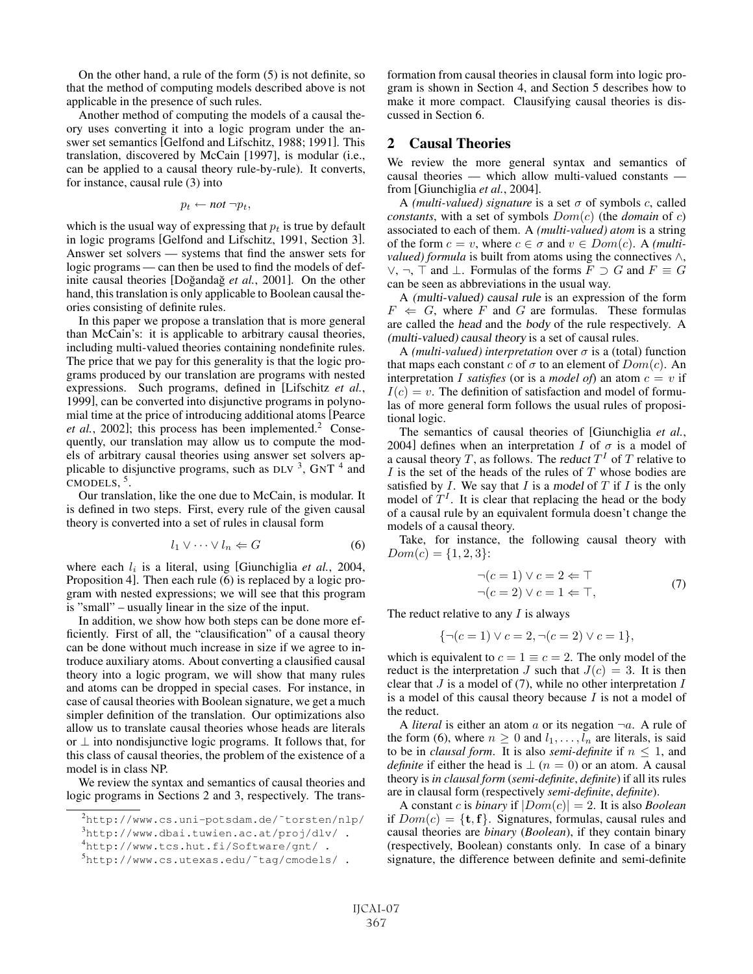On the other hand, a rule of the form (5) is not definite, so that the method of computing models described above is not applicable in the presence of such rules.

Another method of computing the models of a causal theory uses converting it into a logic program under the answer set semantics [Gelfond and Lifschitz, 1988; 1991]. This translation, discovered by McCain [1997], is modular (i.e., can be applied to a causal theory rule-by-rule). It converts, for instance, causal rule (3) into

$$
p_t \leftarrow not \neg p_t,
$$

which is the usual way of expressing that  $p_t$  is true by default in logic programs [Gelfond and Lifschitz, 1991, Section 3]. Answer set solvers — systems that find the answer sets for logic programs — can then be used to find the models of definite causal theories [Doğandağ *et al.*, 2001]. On the other hand, this translation is only applicable to Boolean causal theories consisting of definite rules.

In this paper we propose a translation that is more general than McCain's: it is applicable to arbitrary causal theories, including multi-valued theories containing nondefinite rules. The price that we pay for this generality is that the logic programs produced by our translation are programs with nested expressions. Such programs, defined in [Lifschitz *et al.*, 1999], can be converted into disjunctive programs in polynomial time at the price of introducing additional atoms [Pearce *et al.*, 2002]; this process has been implemented.<sup>2</sup> Consequently, our translation may allow us to compute the models of arbitrary causal theories using answer set solvers applicable to disjunctive programs, such as DLV  $^3$ , GNT  $^4$  and  $CMODELS, \frac{5}{3}$ .

Our translation, like the one due to McCain, is modular. It is defined in two steps. First, every rule of the given causal theory is converted into a set of rules in clausal form

$$
l_1 \vee \cdots \vee l_n \Leftarrow G \tag{6}
$$

where each  $l_i$  is a literal, using [Giunchiglia *et al.*, 2004, Proposition 4]. Then each rule (6) is replaced by a logic program with nested expressions; we will see that this program is "small" – usually linear in the size of the input.

In addition, we show how both steps can be done more efficiently. First of all, the "clausification" of a causal theory can be done without much increase in size if we agree to introduce auxiliary atoms. About converting a clausified causal theory into a logic program, we will show that many rules and atoms can be dropped in special cases. For instance, in case of causal theories with Boolean signature, we get a much simpler definition of the translation. Our optimizations also allow us to translate causal theories whose heads are literals or ⊥ into nondisjunctive logic programs. It follows that, for this class of causal theories, the problem of the existence of a model is in class NP.

We review the syntax and semantics of causal theories and logic programs in Sections 2 and 3, respectively. The transformation from causal theories in clausal form into logic program is shown in Section 4, and Section 5 describes how to make it more compact. Clausifying causal theories is discussed in Section 6.

#### 2 Causal Theories

We review the more general syntax and semantics of causal theories — which allow multi-valued constants from [Giunchiglia *et al.*, 2004].

A *(multi-valued)* signature is a set  $\sigma$  of symbols c, called *constants*, with a set of symbols Dom(c) (the *domain* of c) associated to each of them. A *(multi-valued) atom* is a string of the form  $c = v$ , where  $c \in \sigma$  and  $v \in Dom(c)$ . A *(multivalued) formula* is built from atoms using the connectives ∧, ∨, ¬,  $\top$  and  $\bot$ . Formulas of the forms  $F \supset G$  and  $F \equiv G$ can be seen as abbreviations in the usual way.

A (multi-valued) causal rule is an expression of the form  $F \Leftrightarrow G$ , where F and G are formulas. These formulas are called the head and the body of the rule respectively. A (multi-valued) causal theory is a set of causal rules.

A *(multi-valued)* interpretation over  $\sigma$  is a (total) function that maps each constant c of  $\sigma$  to an element of  $Dom(c)$ . An interpretation I *satisfies* (or is a *model of*) an atom  $c = v$  if  $I(c) = v$ . The definition of satisfaction and model of formulas of more general form follows the usual rules of propositional logic.

The semantics of causal theories of [Giunchiglia *et al.*, 2004] defines when an interpretation I of  $\sigma$  is a model of a causal theory T, as follows. The reduct  $T<sup>I</sup>$  of T relative to  $I$  is the set of the heads of the rules of  $T$  whose bodies are satisfied by  $I$ . We say that  $I$  is a model of  $T$  if  $I$  is the only model of  $T<sup>I</sup>$ . It is clear that replacing the head or the body of a causal rule by an equivalent formula doesn't change the models of a causal theory.

Take, for instance, the following causal theory with  $Dom(c) = \{1, 2, 3\}$ :

$$
\neg(c=1) \lor c=2 \Leftarrow \top
$$
  
\n
$$
\neg(c=2) \lor c=1 \Leftarrow \top,
$$
\n(7)

The reduct relative to any  $I$  is always

$$
\{\neg(c=1) \lor c=2, \neg(c=2) \lor c=1\},\
$$

which is equivalent to  $c = 1 \equiv c = 2$ . The only model of the reduct is the interpretation J such that  $J(c)=3$ . It is then clear that  $J$  is a model of (7), while no other interpretation  $I$ is a model of this causal theory because  $I$  is not a model of the reduct.

A *literal* is either an atom a or its negation  $\neg a$ . A rule of the form (6), where  $n \geq 0$  and  $l_1, \ldots, l_n$  are literals, is said to be in *clausal form*. It is also *semi-definite* if  $n \leq 1$ , and *definite* if either the head is  $\perp$  ( $n = 0$ ) or an atom. A causal theory is *in clausal form* (*semi-definite*, *definite*) if all its rules are in clausal form (respectively *semi-definite*, *definite*).

A constant c is *binary* if  $|Dom(c)| = 2$ . It is also *Boolean* if  $Dom(c) = \{t, f\}$ . Signatures, formulas, causal rules and causal theories are *binary* (*Boolean*), if they contain binary (respectively, Boolean) constants only. In case of a binary signature, the difference between definite and semi-definite

<sup>2</sup> http://www.cs.uni-potsdam.de/˜torsten/nlp/

 $^{3}$ http://www.dbai.tuwien.ac.at/proj/dlv/.

<sup>4</sup> http://www.tcs.hut.fi/Software/gnt/ .

<sup>5</sup> http://www.cs.utexas.edu/˜tag/cmodels/ .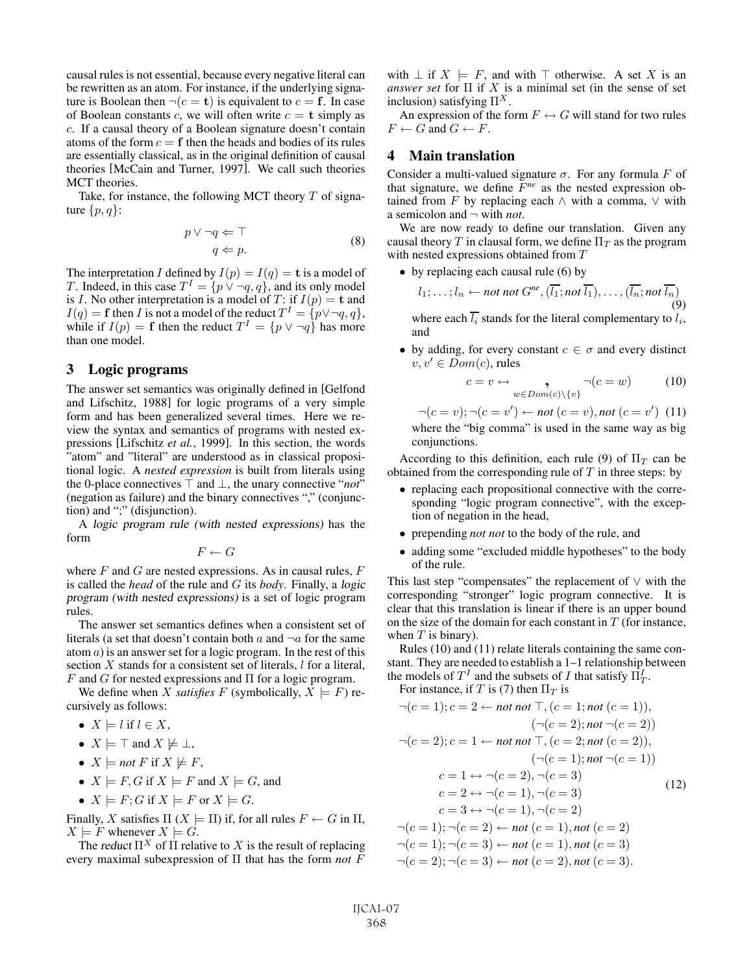causal rules is not essential, because every negative literal can be rewritten as an atom. For instance, if the underlying signature is Boolean then  $\neg(c = \mathbf{t})$  is equivalent to  $c = \mathbf{f}$ . In case of Boolean constants c, we will often write  $c = \mathbf{t}$  simply as c. If a causal theory of a Boolean signature doesn't contain atoms of the form  $c = f$  then the heads and bodies of its rules are essentially classical, as in the original definition of causal theories [McCain and Turner, 1997]. We call such theories MCT theories.

Take, for instance, the following MCT theory  $T$  of signature  $\{p, q\}$ :

$$
p \lor \neg q \Leftarrow \top
$$
  
 
$$
q \Leftarrow p.
$$
 (8)

The interpretation I defined by  $I(p) = I(q) = \mathbf{t}$  is a model of T. Indeed, in this case  $T^I = \{p \lor \neg q, q\}$ , and its only model is I. No other interpretation is a model of T: if  $I(p) = \mathbf{t}$  and  $I(q) = \mathbf{f}$  then I is not a model of the reduct  $T^I = \{p \lor \neg q, q\},\$ while if  $I(p) = \mathbf{f}$  then the reduct  $T^I = \{p \lor \neg q\}$  has more than one model.

#### 3 Logic programs

The answer set semantics was originally defined in [Gelfond and Lifschitz, 1988] for logic programs of a very simple form and has been generalized several times. Here we review the syntax and semantics of programs with nested expressions [Lifschitz *et al.*, 1999]. In this section, the words "atom" and "literal" are understood as in classical propositional logic. A *nested expression* is built from literals using the 0-place connectives  $\top$  and  $\bot$ , the unary connective "*not*" (negation as failure) and the binary connectives "," (conjunction) and ";" (disjunction).

A logic program rule (with nested expressions) has the form

 $F \leftarrow G$ 

where  $F$  and  $G$  are nested expressions. As in causal rules,  $F$ is called the *head* of the rule and G its *body*. Finally, a logic program (with nested expressions) is a set of logic program rules.

The answer set semantics defines when a consistent set of literals (a set that doesn't contain both a and  $\neg a$  for the same atom  $a$ ) is an answer set for a logic program. In the rest of this section  $X$  stands for a consistent set of literals,  $l$  for a literal, F and G for nested expressions and  $\Pi$  for a logic program.

We define when X *satisfies* F (symbolically,  $X \models F$ ) recursively as follows:

- $X \models l$  if  $l \in X$ ,
- $X \models \top$  and  $X \not\models \bot$ ,
- $X \models not F$  if  $X \not\models F$ ,
- $X \models F, G$  if  $X \models F$  and  $X \models G$ , and
- $X \models F$ ; G if  $X \models F$  or  $X \models G$ .

Finally, X satisfies  $\Pi$  ( $X \models \Pi$ ) if, for all rules  $F \leftarrow G$  in  $\Pi$ ,  $X \models F$  whenever  $X \models G$ .

The reduct  $\Pi^X$  of  $\Pi$  relative to X is the result of replacing every maximal subexpression of Π that has the form *not* F with  $\perp$  if  $X \models F$ , and with  $\top$  otherwise. A set X is an *answer set* for  $\Pi$  if X is a minimal set (in the sense of set inclusion) satisfying  $\Pi^X$ .

An expression of the form  $F \leftrightarrow G$  will stand for two rules  $F \leftarrow G$  and  $G \leftarrow F$ .

## 4 Main translation

Consider a multi-valued signature  $\sigma$ . For any formula F of that signature, we define F*ne* as the nested expression obtained from F by replacing each  $\land$  with a comma,  $\lor$  with a semicolon and ¬ with *not*.

We are now ready to define our translation. Given any causal theory T in clausal form, we define  $\Pi_T$  as the program with nested expressions obtained from T

• by replacing each causal rule (6) by

$$
l_1; \ldots; l_n \leftarrow not\ not\ G^{ne}, (\overline{l_1}; not\ \overline{l_1}), \ldots, (\overline{l_n}; not\ \overline{l_n})
$$
  
(9)

where each  $\overline{l_i}$  stands for the literal complementary to  $l_i$ , and

• by adding, for every constant  $c \in \sigma$  and every distinct  $v, v' \in Dom(c)$ , rules

$$
c = v \leftrightarrow \bigcup_{w \in Dom(c) \setminus \{v\}} \neg(c = w) \tag{10}
$$

$$
\neg(c = v); \neg(c = v') \leftarrow not (c = v), not (c = v') \quad (11)
$$
  
where the "big comma" is used in the same way as big

conjunctions. According to this definition, each rule (9) of  $\Pi_T$  can be obtained from the corresponding rule of  $T$  in three steps: by

- replacing each propositional connective with the corresponding "logic program connective", with the exception of negation in the head,
- prepending *not not* to the body of the rule, and
- adding some "excluded middle hypotheses" to the body of the rule.

This last step "compensates" the replacement of ∨ with the corresponding "stronger" logic program connective. It is clear that this translation is linear if there is an upper bound on the size of the domain for each constant in  $T$  (for instance, when  $T$  is binary).

Rules (10) and (11) relate literals containing the same constant. They are needed to establish a 1–1 relationship between the models of  $T^I$  and the subsets of I that satisfy  $\Pi_T^I$ .

For instance, if T is (7) then  $\Pi_T$  is

$$
\neg(c = 1); c = 2 \leftarrow \text{not not } \top, (c = 1; \text{not } (c = 1)),(\neg(c = 2); \text{not } \neg(c = 2))\n\varphi(c = 2); c = 1 \leftarrow \text{not not } \top, (c = 2; \text{not } (c = 2)),(\neg(c = 1); \text{not } \neg(c = 1))c = 1 \leftrightarrow \neg(c = 2), \neg(c = 3)c = 2 \leftrightarrow \neg(c = 1), \neg(c = 3)c = 3 \leftrightarrow \neg(c = 1), \neg(c = 2)\n\varphi(c = 1); \neg(c = 2) \leftarrow \text{not } (c = 1), \text{not } (c = 2)\n\varphi(c = 1); \neg(c = 3) \leftarrow \text{not } (c = 1), \text{not } (c = 3)\n\varphi(c = 2); \neg(c = 3) \leftarrow \text{not } (c = 2), \text{not } (c = 3).
$$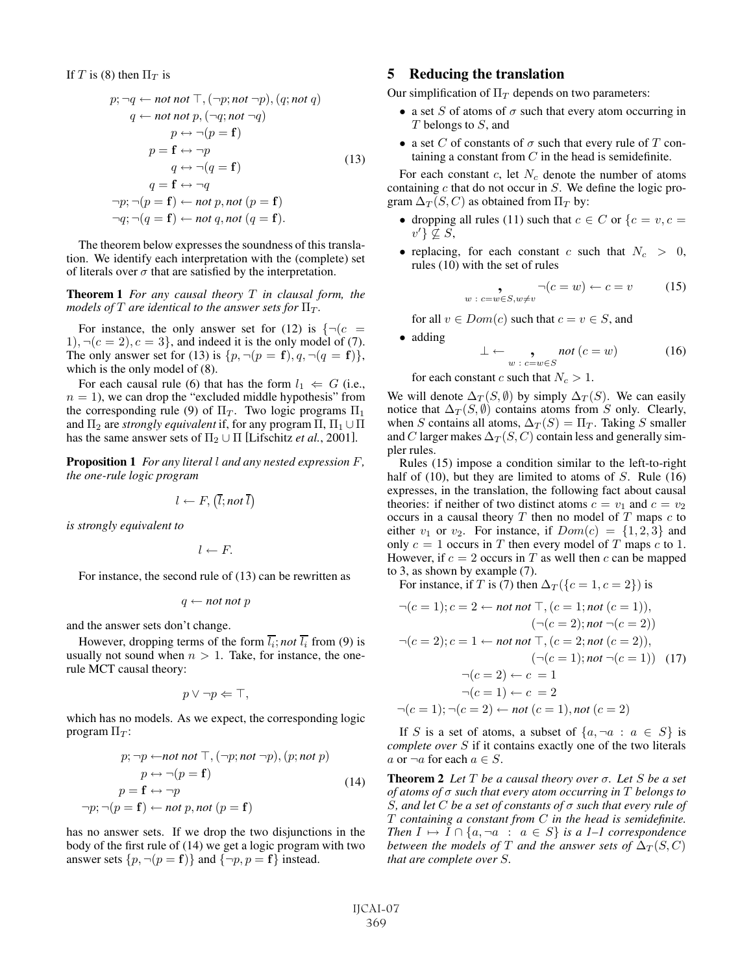If T is (8) then  $\Pi_T$  is

$$
p; \neg q \leftarrow not not \top, (\neg p; not \neg p), (q; not q)
$$
  
\n
$$
q \leftarrow not not p, (\neg q; not \neg q)
$$
  
\n
$$
p \leftrightarrow \neg (p = \mathbf{f})
$$
  
\n
$$
p = \mathbf{f} \leftrightarrow \neg p
$$
  
\n
$$
q \leftrightarrow \neg (q = \mathbf{f})
$$
  
\n
$$
q = \mathbf{f} \leftrightarrow \neg q
$$
  
\n
$$
\neg p; \neg (p = \mathbf{f}) \leftarrow not p, not (p = \mathbf{f})
$$
  
\n
$$
\neg q; \neg (q = \mathbf{f}) \leftarrow not q, not (q = \mathbf{f}).
$$

The theorem below expresses the soundness of this translation. We identify each interpretation with the (complete) set of literals over  $\sigma$  that are satisfied by the interpretation.

Theorem 1 *For any causal theory* T *in clausal form, the models of*  $T$  *are identical to the answer sets for*  $\Pi_T$ .

For instance, the only answer set for (12) is  $\{\neg(c =$ 1),  $\neg$ ( $c = 2$ ),  $c = 3$ }, and indeed it is the only model of (7). The only answer set for (13) is  $\{p, \neg (p = \mathbf{f}), q, \neg (q = \mathbf{f})\},\$ which is the only model of (8).

For each causal rule (6) that has the form  $l_1 \leftarrow G$  (i.e.,  $n = 1$ , we can drop the "excluded middle hypothesis" from the corresponding rule (9) of  $\Pi_T$ . Two logic programs  $\Pi_1$ and  $\Pi_2$  are *strongly equivalent* if, for any program  $\Pi$ ,  $\Pi_1 \cup \Pi$ has the same answer sets of  $\Pi_2 \cup \Pi$  [Lifschitz *et al.*, 2001].

Proposition 1 *For any literal* l *and any nested expression* F*, the one-rule logic program*

$$
l \leftarrow F, (\bar{l}; not \bar{l})
$$

*is strongly equivalent to*

$$
l \leftarrow F.
$$

For instance, the second rule of (13) can be rewritten as

$$
q \leftarrow not\; not\; p
$$

and the answer sets don't change.

However, dropping terms of the form  $\overline{l_i}$ ; *not*  $\overline{l_i}$  from (9) is usually not sound when  $n > 1$ . Take, for instance, the onerule MCT causal theory:

$$
p \vee \neg p \Leftarrow \top,
$$

which has no models. As we expect, the corresponding logic program  $\Pi_T$ :

$$
p; \neg p \leftarrow \text{not not } \top, (\neg p; \text{not } \neg p), (p; \text{not } p)
$$

$$
p \leftrightarrow \neg (p = \mathbf{f})
$$

$$
p = \mathbf{f} \leftrightarrow \neg p
$$

$$
\neg p; \neg (p = \mathbf{f}) \leftarrow \text{not } p, \text{not } (p = \mathbf{f})
$$
(14)

has no answer sets. If we drop the two disjunctions in the body of the first rule of (14) we get a logic program with two answer sets  $\{p, \neg(p = f)\}\$  and  $\{\neg p, p = f\}$  instead.

## 5 Reducing the translation

Our simplification of  $\Pi_T$  depends on two parameters:

- a set S of atoms of  $\sigma$  such that every atom occurring in T belongs to S, and
- a set C of constants of  $\sigma$  such that every rule of T containing a constant from  $C$  in the head is semidefinite.

For each constant  $c$ , let  $N_c$  denote the number of atoms containing  $c$  that do not occur in  $S$ . We define the logic program  $\Delta_T(S, C)$  as obtained from  $\Pi_T$  by:

- dropping all rules (11) such that  $c \in C$  or  $\{c = v, c =$  $v'\} \nsubseteq S$ ,
- replacing, for each constant c such that  $N_c > 0$ , rules (10) with the set of rules

$$
\bullet \qquad \bullet \qquad \neg(c = w) \leftarrow c = v \qquad (15)
$$

for all  $v \in Dom(c)$  such that  $c = v \in S$ , and

• adding

$$
\perp \leftarrow \bigcup_{w \; : \; c=w \in S} \mathit{not} \; (c=w) \tag{16}
$$

for each constant c such that  $N_c > 1$ .

We will denote  $\Delta_T(S, \emptyset)$  by simply  $\Delta_T(S)$ . We can easily notice that  $\Delta_T(S, \emptyset)$  contains atoms from S only. Clearly, when S contains all atoms,  $\Delta_T(S) = \Pi_T$ . Taking S smaller and C larger makes  $\Delta_T(S, C)$  contain less and generally simpler rules.

Rules (15) impose a condition similar to the left-to-right half of  $(10)$ , but they are limited to atoms of S. Rule  $(16)$ expresses, in the translation, the following fact about causal theories: if neither of two distinct atoms  $c = v_1$  and  $c = v_2$ occurs in a causal theory  $T$  then no model of  $T$  maps  $c$  to either  $v_1$  or  $v_2$ . For instance, if  $Dom(c) = \{1, 2, 3\}$  and only  $c = 1$  occurs in T then every model of T maps c to 1. However, if  $c = 2$  occurs in T as well then c can be mapped to 3, as shown by example (7).

For instance, if T is (7) then  $\Delta_T(\lbrace c=1, c=2 \rbrace)$  is

$$
\neg(c=1); c=2 \leftarrow not not \top, (c=1; not (c=1)),\n(\neg(c=2); not \neg(c=2))\n\neg(c=2); c=1 \leftarrow not not \top, (c=2; not (c=2)),\n(\neg(c=1); not \neg(c=1)) \quad (17)\n\neg(c=2) \leftarrow c=1\n\neg(c=1) \leftarrow c=2\n\neg(c=1); \neg(c=2) \leftarrow not (c=1), not (c=2)
$$

If S is a set of atoms, a subset of  $\{a, \neg a : a \in S\}$  is *complete over* S if it contains exactly one of the two literals a or  $\neg a$  for each  $a \in S$ .

Theorem 2 *Let* T *be a causal theory over* σ*. Let* S *be a set of atoms of* σ *such that every atom occurring in* T *belongs to* S*, and let* C *be a set of constants of* σ *such that every rule of* T *containing a constant from* C *in the head is semidefinite. Then*  $I \mapsto I \cap \{a, \neg a : a \in S\}$  *is a 1–1 correspondence between the models of* T *and the answer sets of*  $\Delta_T(S, C)$ *that are complete over* S*.*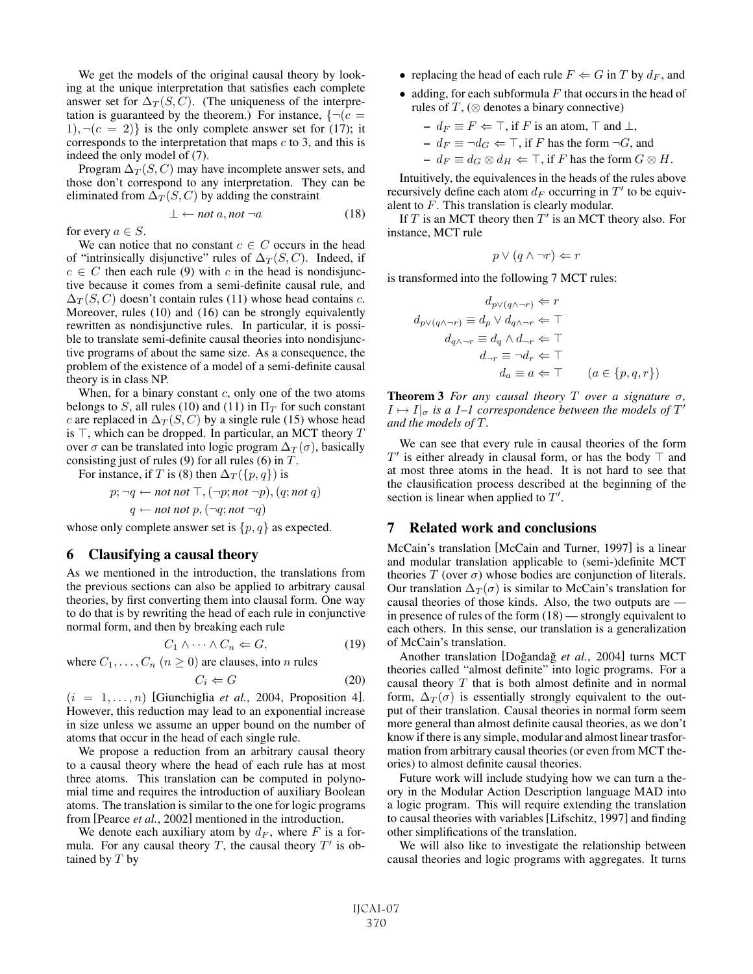We get the models of the original causal theory by looking at the unique interpretation that satisfies each complete answer set for  $\Delta_T(S, C)$ . (The uniqueness of the interpretation is guaranteed by the theorem.) For instance,  $\{\neg (c =$  $1$ ,  $\neg$ ( $c = 2$ )} is the only complete answer set for (17); it corresponds to the interpretation that maps  $c$  to 3, and this is indeed the only model of (7).

Program  $\Delta_T(S, C)$  may have incomplete answer sets, and those don't correspond to any interpretation. They can be eliminated from  $\Delta_T(S, C)$  by adding the constraint

$$
\bot \leftarrow not \ a, not \ \neg a \tag{18}
$$

for every  $a \in S$ .

We can notice that no constant  $c \in C$  occurs in the head of "intrinsically disjunctive" rules of  $\Delta_T(S, C)$ . Indeed, if  $c \in C$  then each rule (9) with c in the head is nondisjunctive because it comes from a semi-definite causal rule, and  $\Delta_T(S, C)$  doesn't contain rules (11) whose head contains c. Moreover, rules (10) and (16) can be strongly equivalently rewritten as nondisjunctive rules. In particular, it is possible to translate semi-definite causal theories into nondisjunctive programs of about the same size. As a consequence, the problem of the existence of a model of a semi-definite causal theory is in class NP.

When, for a binary constant  $c$ , only one of the two atoms belongs to S, all rules (10) and (11) in  $\Pi_T$  for such constant c are replaced in  $\Delta_T(S, C)$  by a single rule (15) whose head is  $\top$ , which can be dropped. In particular, an MCT theory T over  $\sigma$  can be translated into logic program  $\Delta_T(\sigma)$ , basically consisting just of rules (9) for all rules (6) in  $T$ .

For instance, if T is (8) then  $\Delta_T(\lbrace p, q \rbrace)$  is

$$
p; \neg q \leftarrow not not \top, (\neg p; not \neg p), (q; not q)
$$

$$
q \leftarrow not not p, (\neg q; not \neg q)
$$

whose only complete answer set is  $\{p, q\}$  as expected.

#### 6 Clausifying a causal theory

As we mentioned in the introduction, the translations from the previous sections can also be applied to arbitrary causal theories, by first converting them into clausal form. One way to do that is by rewriting the head of each rule in conjunctive normal form, and then by breaking each rule

$$
C_1 \wedge \cdots \wedge C_n \Leftarrow G,\tag{19}
$$

where  $C_1, \ldots, C_n$   $(n \ge 0)$  are clauses, into n rules

$$
C_i \Leftarrow G \tag{20}
$$

 $(i = 1, \ldots, n)$  [Giunchiglia *et al.*, 2004, Proposition 4]. However, this reduction may lead to an exponential increase in size unless we assume an upper bound on the number of atoms that occur in the head of each single rule.

We propose a reduction from an arbitrary causal theory to a causal theory where the head of each rule has at most three atoms. This translation can be computed in polynomial time and requires the introduction of auxiliary Boolean atoms. The translation is similar to the one for logic programs from [Pearce *et al.*, 2002] mentioned in the introduction.

We denote each auxiliary atom by  $d_F$ , where F is a formula. For any causal theory T, the causal theory  $T'$  is obtained by  $T$  by

- replacing the head of each rule  $F \Leftarrow G$  in T by  $d_F$ , and
- adding, for each subformula  $F$  that occurs in the head of rules of  $T$ , ( $\otimes$  denotes a binary connective)

- 
$$
d_F \equiv F \Leftarrow \top
$$
, if *F* is an atom,  $\top$  and  $\bot$ ,

- 
$$
d_F \equiv \neg d_G \Leftarrow \top
$$
, if F has the form  $\neg G$ , and

 $- d_F \equiv d_G \otimes d_H \Leftarrow \top$ , if F has the form  $G \otimes H$ .

Intuitively, the equivalences in the heads of the rules above recursively define each atom  $d_F$  occurring in  $T'$  to be equivalent to F. This translation is clearly modular.

If  $T$  is an MCT theory then  $T'$  is an MCT theory also. For instance, MCT rule

$$
p \lor (q \land \neg r) \Leftarrow r
$$

is transformed into the following 7 MCT rules:

$$
d_{p\vee(q\wedge\neg r)} \Leftarrow r
$$
  
\n
$$
d_{p\vee(q\wedge\neg r)} \equiv d_p \vee d_{q\wedge\neg r} \Leftarrow \top
$$
  
\n
$$
d_{q\wedge\neg r} \equiv d_q \wedge d_{\neg r} \Leftarrow \top
$$
  
\n
$$
d_{\neg r} \equiv \neg d_r \Leftarrow \top
$$
  
\n
$$
d_a \equiv a \Leftarrow \top \qquad (a \in \{p, q, r\})
$$

Theorem 3 *For any causal theory* T *over a signature* σ*,*  $I \mapsto I|_{\sigma}$  is a 1–1 correspondence between the models of  $T'$ *and the models of T.* 

We can see that every rule in causal theories of the form  $T'$  is either already in clausal form, or has the body  $\top$  and at most three atoms in the head. It is not hard to see that the clausification process described at the beginning of the section is linear when applied to  $T'$ .

# 7 Related work and conclusions

McCain's translation [McCain and Turner, 1997] is a linear and modular translation applicable to (semi-)definite MCT theories  $T$  (over  $\sigma$ ) whose bodies are conjunction of literals. Our translation  $\Delta_T(\sigma)$  is similar to McCain's translation for causal theories of those kinds. Also, the two outputs are in presence of rules of the form (18) — strongly equivalent to each others. In this sense, our translation is a generalization of McCain's translation.

Another translation [Doğandağ et al., 2004] turns MCT theories called "almost definite" into logic programs. For a causal theory  $T$  that is both almost definite and in normal form,  $\Delta_T(\sigma)$  is essentially strongly equivalent to the output of their translation. Causal theories in normal form seem more general than almost definite causal theories, as we don't know if there is any simple, modular and almost linear trasformation from arbitrary causal theories (or even from MCT theories) to almost definite causal theories.

Future work will include studying how we can turn a theory in the Modular Action Description language MAD into a logic program. This will require extending the translation to causal theories with variables [Lifschitz, 1997] and finding other simplifications of the translation.

We will also like to investigate the relationship between causal theories and logic programs with aggregates. It turns